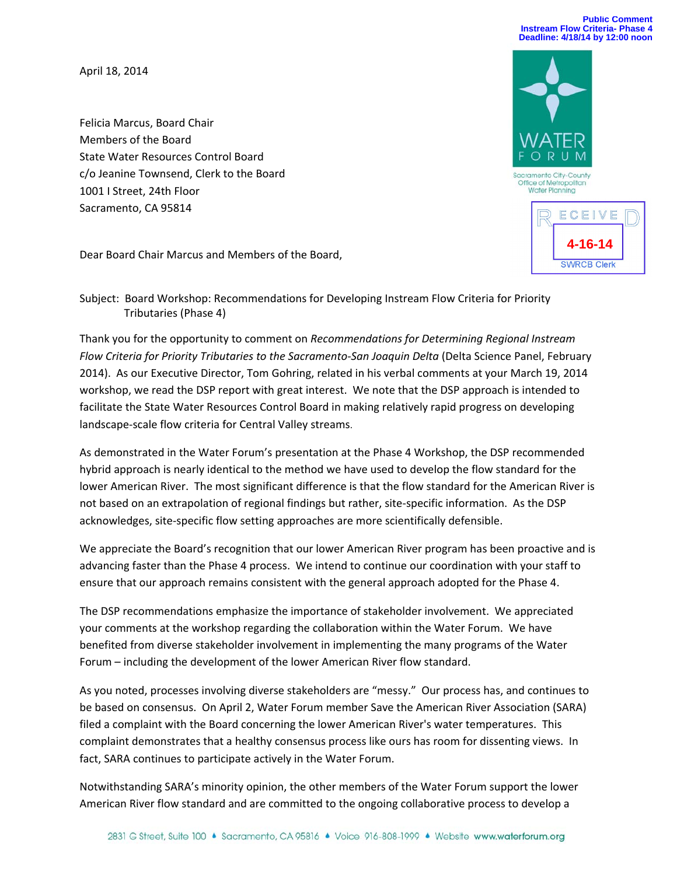## **Public Comment Instream Flow Criteria- Phase 4 Deadline: 4/18/14 by 12:00 noon**

April 18, 2014

Felicia Marcus, Board Chair Members of the Board State Water Resources Control Board c/o Jeanine Townsend, Clerk to the Board 1001 I Street, 24th Floor Sacramento, CA 95814



Dear Board Chair Marcus and Members of the Board,

Subject: Board Workshop: Recommendations for Developing Instream Flow Criteria for Priority Tributaries (Phase 4)

Thank you for the opportunity to comment on *Recommendations for Determining Regional Instream Flow Criteria for Priority Tributaries to the Sacramento‐San Joaquin Delta* (Delta Science Panel, February 2014). As our Executive Director, Tom Gohring, related in his verbal comments at your March 19, 2014 workshop, we read the DSP report with great interest. We note that the DSP approach is intended to facilitate the State Water Resources Control Board in making relatively rapid progress on developing landscape‐scale flow criteria for Central Valley streams.

As demonstrated in the Water Forum's presentation at the Phase 4 Workshop, the DSP recommended hybrid approach is nearly identical to the method we have used to develop the flow standard for the lower American River. The most significant difference is that the flow standard for the American River is not based on an extrapolation of regional findings but rather, site‐specific information. As the DSP acknowledges, site‐specific flow setting approaches are more scientifically defensible.

We appreciate the Board's recognition that our lower American River program has been proactive and is advancing faster than the Phase 4 process. We intend to continue our coordination with your staff to ensure that our approach remains consistent with the general approach adopted for the Phase 4.

The DSP recommendations emphasize the importance of stakeholder involvement. We appreciated your comments at the workshop regarding the collaboration within the Water Forum. We have benefited from diverse stakeholder involvement in implementing the many programs of the Water Forum – including the development of the lower American River flow standard.

As you noted, processes involving diverse stakeholders are "messy." Our process has, and continues to be based on consensus. On April 2, Water Forum member Save the American River Association (SARA) filed a complaint with the Board concerning the lower American River's water temperatures. This complaint demonstrates that a healthy consensus process like ours has room for dissenting views. In fact, SARA continues to participate actively in the Water Forum.

Notwithstanding SARA's minority opinion, the other members of the Water Forum support the lower American River flow standard and are committed to the ongoing collaborative process to develop a